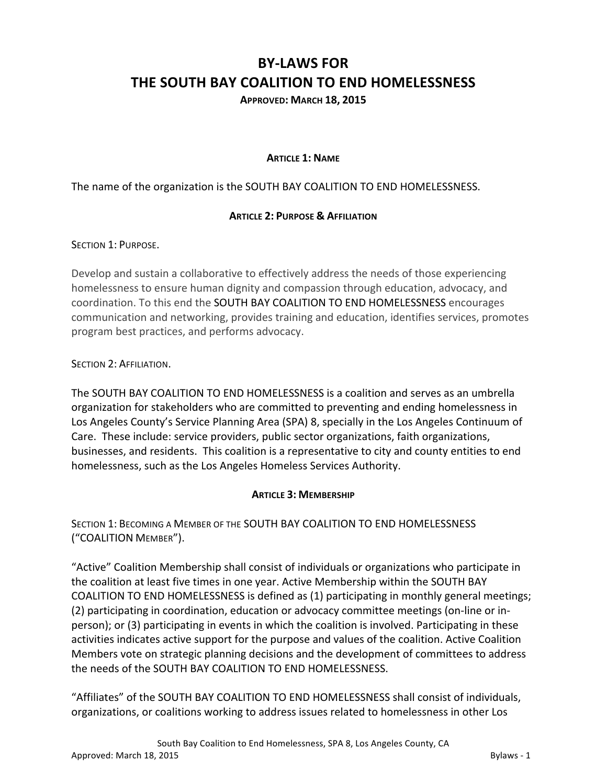# **BY-LAWS FOR THE SOUTH BAY COALITION TO END HOMELESSNESS**

**APPROVED: MARCH 18, 2015**

#### **ARTICLE 1: NAME**

The name of the organization is the SOUTH BAY COALITION TO END HOMELESSNESS.

#### **ARTICLE 2: PURPOSE & AFFILIATION**

SECTION 1: PURPOSE.

Develop and sustain a collaborative to effectively address the needs of those experiencing homelessness to ensure human dignity and compassion through education, advocacy, and coordination. To this end the SOUTH BAY COALITION TO END HOMELESSNESS encourages communication and networking, provides training and education, identifies services, promotes program best practices, and performs advocacy.

SECTION 2: AFFILIATION.

The SOUTH BAY COALITION TO END HOMELESSNESS is a coalition and serves as an umbrella organization for stakeholders who are committed to preventing and ending homelessness in Los Angeles County's Service Planning Area (SPA) 8, specially in the Los Angeles Continuum of Care. These include: service providers, public sector organizations, faith organizations, businesses, and residents. This coalition is a representative to city and county entities to end homelessness, such as the Los Angeles Homeless Services Authority.

#### **ARTICLE 3: MEMBERSHIP**

SECTION 1: BECOMING A MEMBER OF THE SOUTH BAY COALITION TO END HOMELESSNESS ("COALITION MEMBER").

"Active" Coalition Membership shall consist of individuals or organizations who participate in the coalition at least five times in one year. Active Membership within the SOUTH BAY COALITION TO END HOMELESSNESS is defined as (1) participating in monthly general meetings; (2) participating in coordination, education or advocacy committee meetings (on-line or inperson); or (3) participating in events in which the coalition is involved. Participating in these activities indicates active support for the purpose and values of the coalition. Active Coalition Members vote on strategic planning decisions and the development of committees to address the needs of the SOUTH BAY COALITION TO END HOMELESSNESS.

"Affiliates" of the SOUTH BAY COALITION TO END HOMELESSNESS shall consist of individuals, organizations, or coalitions working to address issues related to homelessness in other Los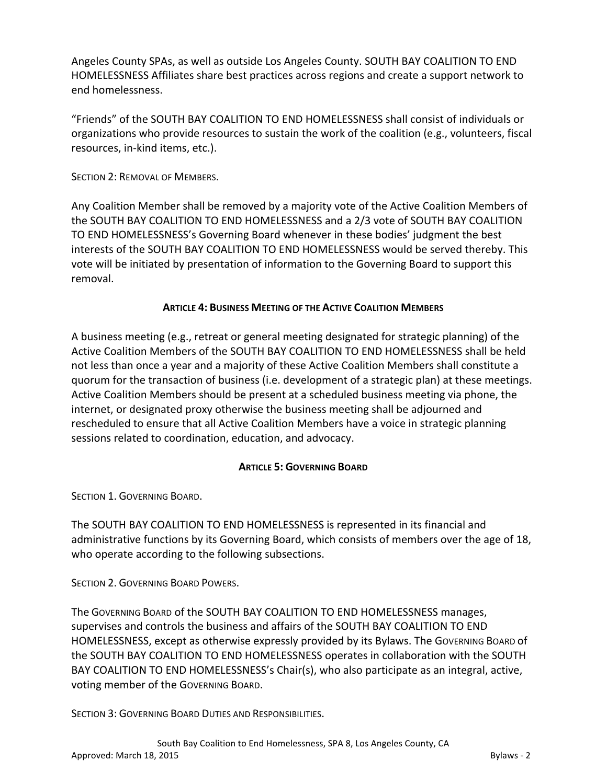Angeles County SPAs, as well as outside Los Angeles County. SOUTH BAY COALITION TO END HOMELESSNESS Affiliates share best practices across regions and create a support network to end homelessness.

"Friends" of the SOUTH BAY COALITION TO END HOMELESSNESS shall consist of individuals or organizations who provide resources to sustain the work of the coalition (e.g., volunteers, fiscal resources, in-kind items, etc.).

SECTION 2: REMOVAL OF MEMBERS.

Any Coalition Member shall be removed by a majority vote of the Active Coalition Members of the SOUTH BAY COALITION TO END HOMELESSNESS and a 2/3 vote of SOUTH BAY COALITION TO END HOMELESSNESS's Governing Board whenever in these bodies' judgment the best interests of the SOUTH BAY COALITION TO END HOMELESSNESS would be served thereby. This vote will be initiated by presentation of information to the Governing Board to support this removal. 

# **ARTICLE 4: BUSINESS MEETING OF THE ACTIVE COALITION MEMBERS**

A business meeting (e.g., retreat or general meeting designated for strategic planning) of the Active Coalition Members of the SOUTH BAY COALITION TO END HOMELESSNESS shall be held not less than once a year and a majority of these Active Coalition Members shall constitute a quorum for the transaction of business (i.e. development of a strategic plan) at these meetings. Active Coalition Members should be present at a scheduled business meeting via phone, the internet, or designated proxy otherwise the business meeting shall be adjourned and rescheduled to ensure that all Active Coalition Members have a voice in strategic planning sessions related to coordination, education, and advocacy.

#### **ARTICLE 5: GOVERNING BOARD**

SECTION 1. GOVERNING BOARD.

The SOUTH BAY COALITION TO END HOMELESSNESS is represented in its financial and administrative functions by its Governing Board, which consists of members over the age of 18, who operate according to the following subsections.

SECTION 2. GOVERNING BOARD POWERS.

The GOVERNING BOARD of the SOUTH BAY COALITION TO END HOMELESSNESS manages, supervises and controls the business and affairs of the SOUTH BAY COALITION TO END HOMELESSNESS, except as otherwise expressly provided by its Bylaws. The GOVERNING BOARD of the SOUTH BAY COALITION TO END HOMELESSNESS operates in collaboration with the SOUTH BAY COALITION TO END HOMELESSNESS's Chair(s), who also participate as an integral, active, voting member of the GOVERNING BOARD.

SECTION 3: GOVERNING BOARD DUTIES AND RESPONSIBILITIES.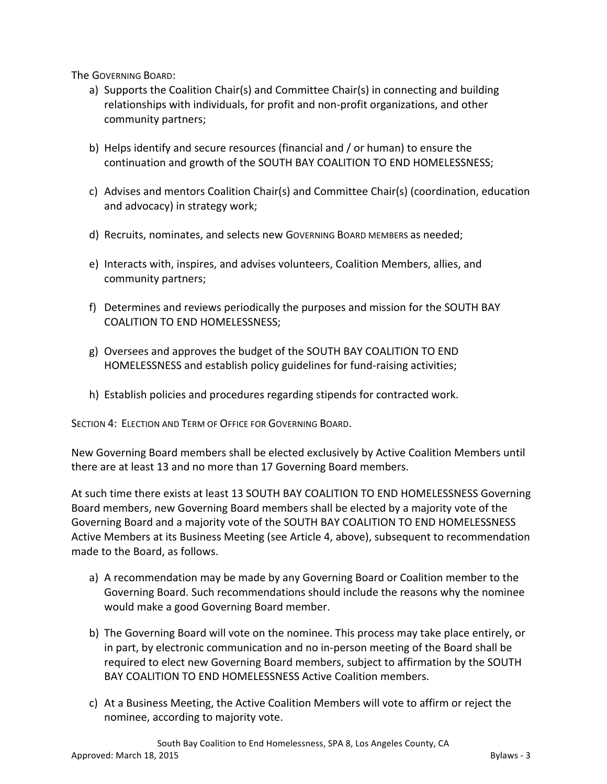The GOVERNING BOARD:

- a) Supports the Coalition Chair(s) and Committee Chair(s) in connecting and building relationships with individuals, for profit and non-profit organizations, and other community partners;
- b) Helps identify and secure resources (financial and / or human) to ensure the continuation and growth of the SOUTH BAY COALITION TO END HOMELESSNESS;
- c) Advises and mentors Coalition Chair(s) and Committee Chair(s) (coordination, education and advocacy) in strategy work;
- d) Recruits, nominates, and selects new GOVERNING BOARD MEMBERS as needed;
- e) Interacts with, inspires, and advises volunteers, Coalition Members, allies, and community partners;
- f) Determines and reviews periodically the purposes and mission for the SOUTH BAY COALITION TO END HOMELESSNESS;
- g) Oversees and approves the budget of the SOUTH BAY COALITION TO END HOMELESSNESS and establish policy guidelines for fund-raising activities;
- h) Establish policies and procedures regarding stipends for contracted work.

SECTION 4: ELECTION AND TERM OF OFFICE FOR GOVERNING BOARD.

New Governing Board members shall be elected exclusively by Active Coalition Members until there are at least 13 and no more than 17 Governing Board members.

At such time there exists at least 13 SOUTH BAY COALITION TO END HOMELESSNESS Governing Board members, new Governing Board members shall be elected by a majority vote of the Governing Board and a majority vote of the SOUTH BAY COALITION TO END HOMELESSNESS Active Members at its Business Meeting (see Article 4, above), subsequent to recommendation made to the Board, as follows.

- a) A recommendation may be made by any Governing Board or Coalition member to the Governing Board. Such recommendations should include the reasons why the nominee would make a good Governing Board member.
- b) The Governing Board will vote on the nominee. This process may take place entirely, or in part, by electronic communication and no in-person meeting of the Board shall be required to elect new Governing Board members, subject to affirmation by the SOUTH BAY COALITION TO END HOMELESSNESS Active Coalition members.
- c) At a Business Meeting, the Active Coalition Members will vote to affirm or reject the nominee, according to majority vote.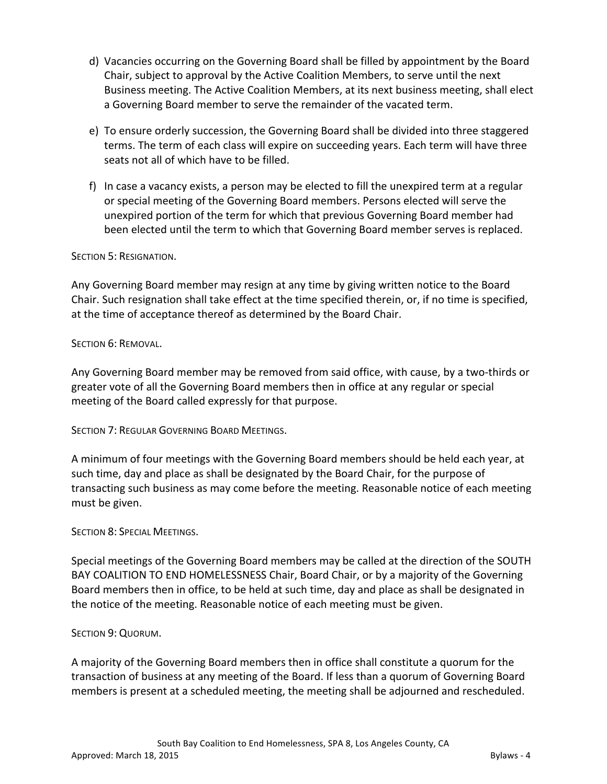- d) Vacancies occurring on the Governing Board shall be filled by appointment by the Board Chair, subject to approval by the Active Coalition Members, to serve until the next Business meeting. The Active Coalition Members, at its next business meeting, shall elect a Governing Board member to serve the remainder of the vacated term.
- e) To ensure orderly succession, the Governing Board shall be divided into three staggered terms. The term of each class will expire on succeeding years. Each term will have three seats not all of which have to be filled.
- f) In case a vacancy exists, a person may be elected to fill the unexpired term at a regular or special meeting of the Governing Board members. Persons elected will serve the unexpired portion of the term for which that previous Governing Board member had been elected until the term to which that Governing Board member serves is replaced.

# SECTION 5: RESIGNATION.

Any Governing Board member may resign at any time by giving written notice to the Board Chair. Such resignation shall take effect at the time specified therein, or, if no time is specified, at the time of acceptance thereof as determined by the Board Chair.

#### SECTION 6: REMOVAL.

Any Governing Board member may be removed from said office, with cause, by a two-thirds or greater vote of all the Governing Board members then in office at any regular or special meeting of the Board called expressly for that purpose.

SECTION 7: REGULAR GOVERNING BOARD MEETINGS.

A minimum of four meetings with the Governing Board members should be held each year, at such time, day and place as shall be designated by the Board Chair, for the purpose of transacting such business as may come before the meeting. Reasonable notice of each meeting must be given.

#### SECTION 8: SPECIAL MEETINGS.

Special meetings of the Governing Board members may be called at the direction of the SOUTH BAY COALITION TO END HOMELESSNESS Chair, Board Chair, or by a majority of the Governing Board members then in office, to be held at such time, day and place as shall be designated in the notice of the meeting. Reasonable notice of each meeting must be given.

#### SECTION 9: QUORUM.

A majority of the Governing Board members then in office shall constitute a quorum for the transaction of business at any meeting of the Board. If less than a quorum of Governing Board members is present at a scheduled meeting, the meeting shall be adjourned and rescheduled.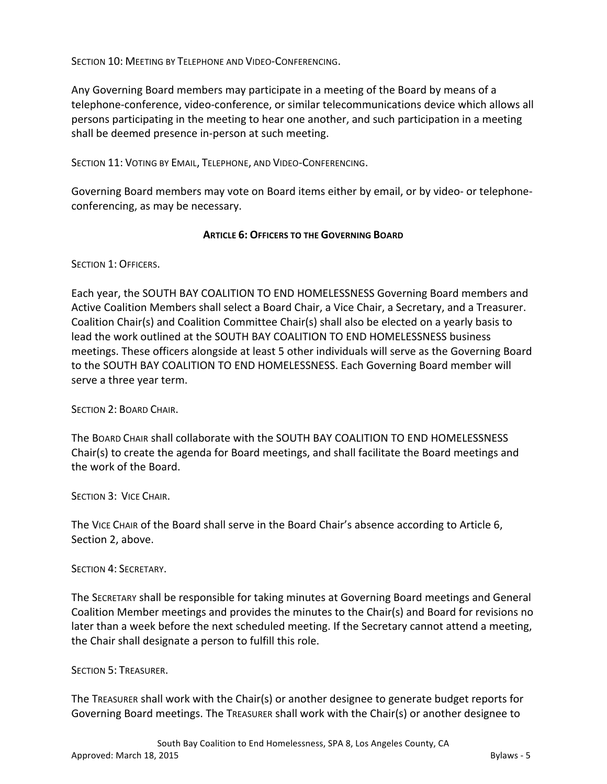SECTION 10: MEETING BY TELEPHONE AND VIDEO-CONFERENCING. 

Any Governing Board members may participate in a meeting of the Board by means of a telephone-conference, video-conference, or similar telecommunications device which allows all persons participating in the meeting to hear one another, and such participation in a meeting shall be deemed presence in-person at such meeting.

SECTION 11: VOTING BY EMAIL, TELEPHONE, AND VIDEO-CONFERENCING.

Governing Board members may vote on Board items either by email, or by video- or telephoneconferencing, as may be necessary.

#### **ARTICLE 6: OFFICERS TO THE GOVERNING BOARD**

SECTION 1: OFFICERS.

Each year, the SOUTH BAY COALITION TO END HOMELESSNESS Governing Board members and Active Coalition Members shall select a Board Chair, a Vice Chair, a Secretary, and a Treasurer. Coalition Chair(s) and Coalition Committee Chair(s) shall also be elected on a yearly basis to lead the work outlined at the SOUTH BAY COALITION TO END HOMELESSNESS business meetings. These officers alongside at least 5 other individuals will serve as the Governing Board to the SOUTH BAY COALITION TO END HOMELESSNESS. Each Governing Board member will serve a three year term.

SECTION 2: BOARD CHAIR.

The BOARD CHAIR shall collaborate with the SOUTH BAY COALITION TO END HOMELESSNESS Chair(s) to create the agenda for Board meetings, and shall facilitate the Board meetings and the work of the Board.

SECTION 3: VICE CHAIR.

The VICE CHAIR of the Board shall serve in the Board Chair's absence according to Article 6, Section 2, above.

SECTION 4: SECRETARY.

The SECRETARY shall be responsible for taking minutes at Governing Board meetings and General Coalition Member meetings and provides the minutes to the Chair(s) and Board for revisions no later than a week before the next scheduled meeting. If the Secretary cannot attend a meeting, the Chair shall designate a person to fulfill this role.

SECTION 5: TREASURER.

The TREASURER shall work with the Chair(s) or another designee to generate budget reports for Governing Board meetings. The TREASURER shall work with the Chair(s) or another designee to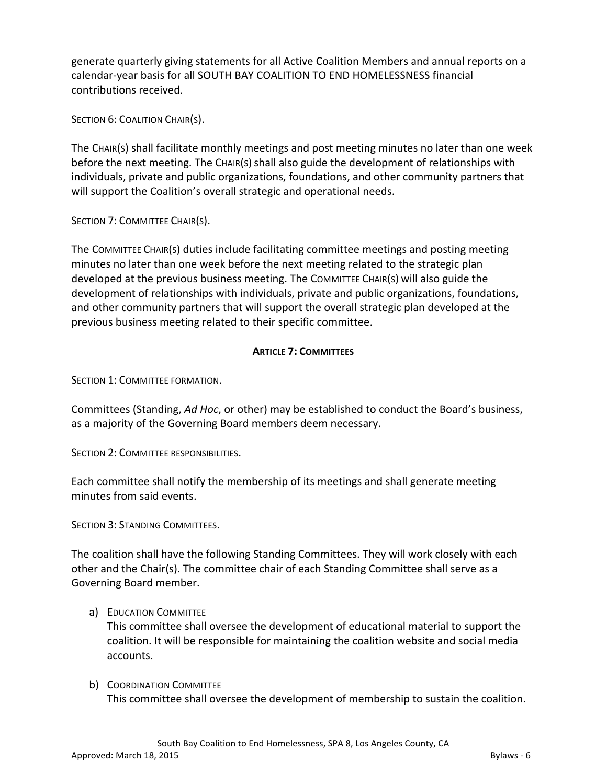generate quarterly giving statements for all Active Coalition Members and annual reports on a calendar-year basis for all SOUTH BAY COALITION TO END HOMELESSNESS financial contributions received.

SECTION 6: COALITION CHAIR(S).

The CHAIR(S) shall facilitate monthly meetings and post meeting minutes no later than one week before the next meeting. The CHAIR(S) shall also guide the development of relationships with individuals, private and public organizations, foundations, and other community partners that will support the Coalition's overall strategic and operational needs.

SECTION 7: COMMITTEE CHAIR(S).

The COMMITTEE CHAIR(S) duties include facilitating committee meetings and posting meeting minutes no later than one week before the next meeting related to the strategic plan developed at the previous business meeting. The COMMITTEE CHAIR(S) will also guide the development of relationships with individuals, private and public organizations, foundations, and other community partners that will support the overall strategic plan developed at the previous business meeting related to their specific committee.

# **ARTICLE 7: COMMITTEES**

SECTION 1: COMMITTEE FORMATION.

Committees (Standing, *Ad Hoc*, or other) may be established to conduct the Board's business, as a majority of the Governing Board members deem necessary.

SECTION 2: COMMITTEE RESPONSIBILITIES.

Each committee shall notify the membership of its meetings and shall generate meeting minutes from said events.

SECTION 3: STANDING COMMITTEES.

The coalition shall have the following Standing Committees. They will work closely with each other and the Chair(s). The committee chair of each Standing Committee shall serve as a Governing Board member.

#### a) EDUCATION COMMITTEE

This committee shall oversee the development of educational material to support the coalition. It will be responsible for maintaining the coalition website and social media accounts.

b) COORDINATION COMMITTEE This committee shall oversee the development of membership to sustain the coalition.